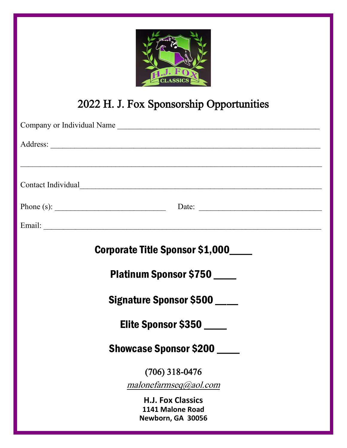

# 2022 H. J. Fox Sponsorship Opportunities

| Company or Individual Name                                                                             |
|--------------------------------------------------------------------------------------------------------|
|                                                                                                        |
| ,我们也不能在这里的时候,我们也不能在这里的时候,我们也不能在这里的时候,我们也不能会在这里的时候,我们也不能会在这里的时候,我们也不能会在这里的时候,我们也不<br>Contact Individual |
|                                                                                                        |
|                                                                                                        |
| <b>Corporate Title Sponsor \$1,000_____</b>                                                            |
| <b>Platinum Sponsor \$750</b>                                                                          |
| <b>Signature Sponsor \$500</b>                                                                         |
| Elite Sponsor \$350                                                                                    |
| <b>Showcase Sponsor \$200</b>                                                                          |
| $(706)$ 318-0476                                                                                       |
| malone farmseq@aol.com                                                                                 |
| <b>H.J. Fox Classics</b><br>1141 Malone Road<br>Newborn, GA 30056                                      |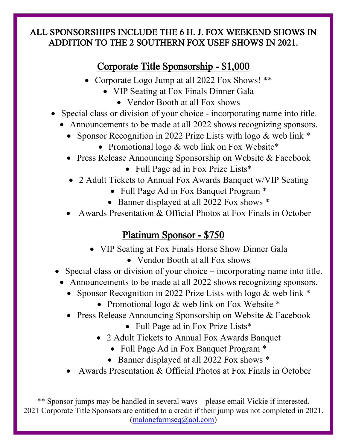#### ALL SPONSORSHIPS INCLUDE THE 6 H. J. FOX WEEKEND SHOWS IN ADDITION TO THE 2 SOUTHERN FOX USEF SHOWS IN 2021.

# Corporate Title Sponsorship - \$1,000

- Corporate Logo Jump at all 2022 Fox Shows! \*\*
	- VIP Seating at Fox Finals Dinner Gala
		- Vendor Booth at all Fox shows
- Special class or division of your choice incorporating name into title.
	- Announcements to be made at all 2022 shows recognizing sponsors.
		- Sponsor Recognition in 2022 Prize Lists with logo & web link  $*$ 
			- Promotional logo & web link on Fox Website\*
		- Press Release Announcing Sponsorship on Website & Facebook • Full Page ad in Fox Prize Lists\*
		- 2 Adult Tickets to Annual Fox Awards Banquet w/VIP Seating
			- Full Page Ad in Fox Banquet Program \*
			- Banner displayed at all 2022 Fox shows  $*$
		- Awards Presentation & Official Photos at Fox Finals in October

## Platinum Sponsor - \$750

- VIP Seating at Fox Finals Horse Show Dinner Gala
	- Vendor Booth at all Fox shows
- Special class or division of your choice incorporating name into title.
	- Announcements to be made at all 2022 shows recognizing sponsors.
		- Sponsor Recognition in 2022 Prize Lists with logo & web link  $*$ 
			- Promotional logo & web link on Fox Website \*
		- Press Release Announcing Sponsorship on Website & Facebook
			- Full Page ad in Fox Prize Lists\*
			- 2 Adult Tickets to Annual Fox Awards Banquet
				- Full Page Ad in Fox Banquet Program  $*$
				- Banner displayed at all 2022 Fox shows  $*$
		- Awards Presentation & Official Photos at Fox Finals in October

\*\* Sponsor jumps may be handled in several ways – please email Vickie if interested. 2021 Corporate Title Sponsors are entitled to a credit if their jump was not completed in 2021. [\(malonefarmseq@aol.com\)](mailto:malonefarmseq@aol.com)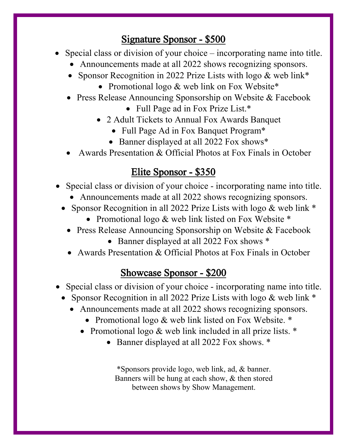## Signature Sponsor - \$500

- Special class or division of your choice incorporating name into title.
	- Announcements made at all 2022 shows recognizing sponsors.
	- Sponsor Recognition in 2022 Prize Lists with logo & web link\*
		- Promotional logo & web link on Fox Website\*
	- Press Release Announcing Sponsorship on Website & Facebook
		- Full Page ad in Fox Prize List.\*
		- 2 Adult Tickets to Annual Fox Awards Banquet
			- Full Page Ad in Fox Banquet Program\*
			- Banner displayed at all 2022 Fox shows\*
	- Awards Presentation & Official Photos at Fox Finals in October

#### Elite Sponsor - \$350

- Special class or division of your choice incorporating name into title.
	- Announcements made at all 2022 shows recognizing sponsors.
	- Sponsor Recognition in all 2022 Prize Lists with logo & web link  $*$ 
		- Promotional logo & web link listed on Fox Website \*
		- Press Release Announcing Sponsorship on Website & Facebook
			- Banner displayed at all 2022 Fox shows  $*$
		- Awards Presentation & Official Photos at Fox Finals in October

#### Showcase Sponsor - \$200

- Special class or division of your choice incorporating name into title.
	- Sponsor Recognition in all 2022 Prize Lists with logo & web link  $*$ 
		- Announcements made at all 2022 shows recognizing sponsors.
			- Promotional logo & web link listed on Fox Website. \*
			- Promotional logo & web link included in all prize lists. \*
				- Banner displayed at all 2022 Fox shows.  $*$

\*Sponsors provide logo, web link, ad, & banner. Banners will be hung at each show, & then stored between shows by Show Management.